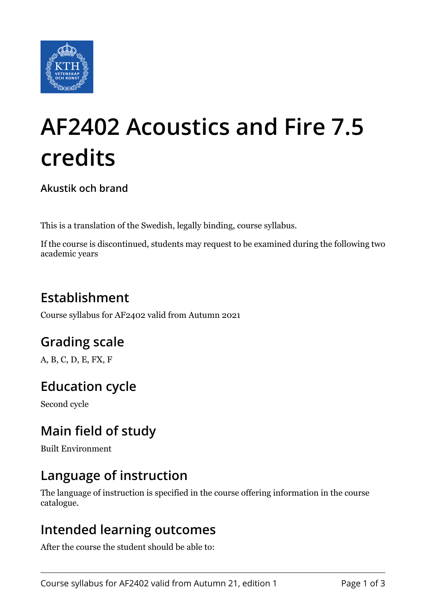

# **AF2402 Acoustics and Fire 7.5 credits**

**Akustik och brand**

This is a translation of the Swedish, legally binding, course syllabus.

If the course is discontinued, students may request to be examined during the following two academic years

# **Establishment**

Course syllabus for AF2402 valid from Autumn 2021

## **Grading scale**

A, B, C, D, E, FX, F

## **Education cycle**

Second cycle

## **Main field of study**

Built Environment

#### **Language of instruction**

The language of instruction is specified in the course offering information in the course catalogue.

#### **Intended learning outcomes**

After the course the student should be able to: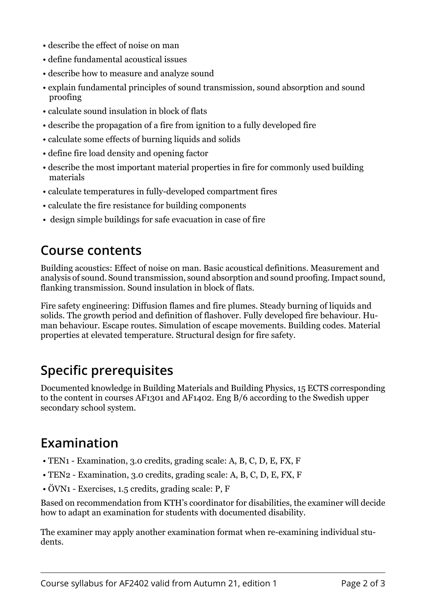- describe the effect of noise on man
- define fundamental acoustical issues
- describe how to measure and analyze sound
- explain fundamental principles of sound transmission, sound absorption and sound proofing
- calculate sound insulation in block of flats
- describe the propagation of a fire from ignition to a fully developed fire
- calculate some effects of burning liquids and solids
- define fire load density and opening factor
- describe the most important material properties in fire for commonly used building materials
- calculate temperatures in fully-developed compartment fires
- calculate the fire resistance for building components
- design simple buildings for safe evacuation in case of fire

#### **Course contents**

Building acoustics: Effect of noise on man. Basic acoustical definitions. Measurement and analysis of sound. Sound transmission, sound absorption and sound proofing. Impact sound, flanking transmission. Sound insulation in block of flats.

Fire safety engineering: Diffusion flames and fire plumes. Steady burning of liquids and solids. The growth period and definition of flashover. Fully developed fire behaviour. Human behaviour. Escape routes. Simulation of escape movements. Building codes. Material properties at elevated temperature. Structural design for fire safety.

# **Specific prerequisites**

Documented knowledge in Building Materials and Building Physics, 15 ECTS corresponding to the content in courses AF1301 and AF1402. Eng B/6 according to the Swedish upper secondary school system.

## **Examination**

- TEN1 Examination, 3.0 credits, grading scale: A, B, C, D, E, FX, F
- TEN2 Examination, 3.0 credits, grading scale: A, B, C, D, E, FX, F
- ÖVN1 Exercises, 1.5 credits, grading scale: P, F

Based on recommendation from KTH's coordinator for disabilities, the examiner will decide how to adapt an examination for students with documented disability.

The examiner may apply another examination format when re-examining individual students.